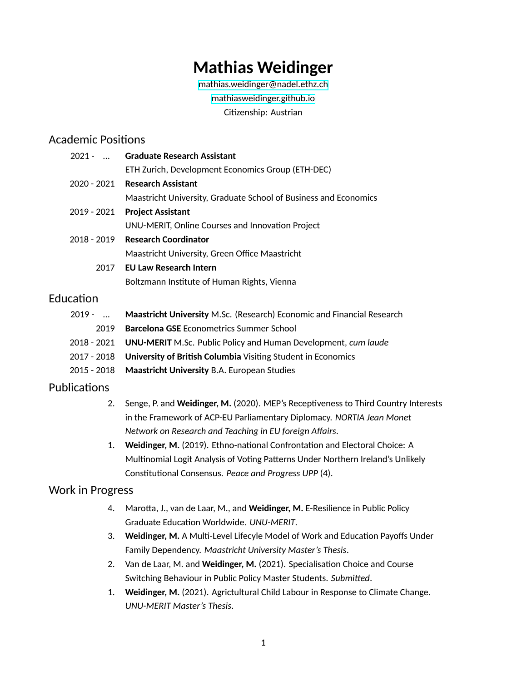# **Mathias Weidinger**

[mathias.weidinger@nadel.ethz.ch](mailto:mweidinger@ethz.ch)

[mathiasweidinger.github.io](https://mathiasweidinger.github.io)

Citizenship: Austrian

#### Academic Positions

| 2021 -  Graduate Research Assistant                              |
|------------------------------------------------------------------|
| ETH Zurich, Development Economics Group (ETH-DEC)                |
| 2020 - 2021 Research Assistant                                   |
| Maastricht University, Graduate School of Business and Economics |
| 2019 - 2021 Project Assistant                                    |
| UNU-MERIT, Online Courses and Innovation Project                 |
| 2018 - 2019 Research Coordinator                                 |
| Maastricht University, Green Office Maastricht                   |
| 2017 EU Law Research Intern                                      |
|                                                                  |

Boltzmann Institute of Human Rights, Vienna

### **Education**

| Maastricht University M.Sc. (Research) Economic and Financial Research     |
|----------------------------------------------------------------------------|
| <b>Barcelona GSE</b> Econometrics Summer School                            |
| 2018 - 2021 UNU-MERIT M.Sc. Public Policy and Human Development, cum laude |
| 2017 - 2018 University of British Columbia Visiting Student in Economics   |
| 2015 - 2018 Maastricht University B.A. European Studies                    |
|                                                                            |

#### Publications

- 2. Senge, P. and **Weidinger, M.** (2020). MEP's Receptiveness to Third Country Interests in the Framework of ACP-EU Parliamentary Diplomacy. *NORTIA Jean Monet Network on Research and Teaching in EU foreign Affairs*.
- 1. **Weidinger, M.** (2019). Ethno-national Confrontation and Electoral Choice: A Multinomial Logit Analysis of Voting Patterns Under Northern Ireland's Unlikely Constitutional Consensus. *Peace and Progress UPP* (4).

#### Work in Progress

- 4. Marotta, J., van de Laar, M., and **Weidinger, M.** E-Resilience in Public Policy Graduate Education Worldwide. *UNU-MERIT*.
- 3. **Weidinger, M.** A Multi-Level Lifecyle Model of Work and Education Payoffs Under Family Dependency. *Maastricht University Master's Thesis*.
- 2. Van de Laar, M. and **Weidinger, M.** (2021). Specialisation Choice and Course Switching Behaviour in Public Policy Master Students. *Submitted*.
- 1. **Weidinger, M.** (2021). Agrictultural Child Labour in Response to Climate Change. *UNU-MERIT Master's Thesis*.